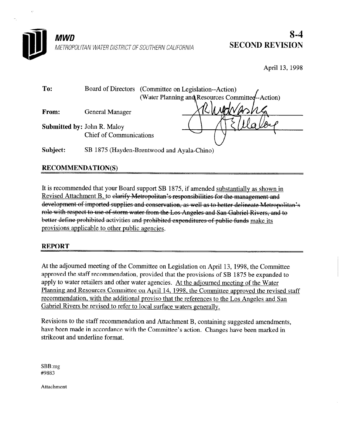

April 13, 1998

| To:                                | Board of Directors (Committee on Legislation--Action)<br>(Water Planning and Resources Committeen-Action) |
|------------------------------------|-----------------------------------------------------------------------------------------------------------|
| From:                              | <b>General Manager</b>                                                                                    |
| <b>Submitted by: John R. Maloy</b> |                                                                                                           |
|                                    | <b>Chief of Communications</b>                                                                            |
| Subject:                           | SB 1875 (Hayden-Brentwood and Ayala-Chino)                                                                |
|                                    |                                                                                                           |

# **RECOMMENDATION(S)**

It is recommended that your Board support SB 1875, if amended substantiallv as shown in Revised Attachment B, to elarify Metropolitan's responsibilities for the management and development of imported supplies and conservation, as well as to better delineate Metropolitan's role with respect to use of storm water from the Los Angeles and San Gabriel Rivers, and to better define prohibited activities and prohibited expenditures of public funds make its provisions applicable to other public agencies.

# REPORT

At the adjourned meeting of the Committee on Legislation on April 13, 1998, the Committee approved the staff recommendation, provided that the provisions of SB 1875 be expanded to apply to water retailers and other water agencies. At the adjourned meeting of the Water Planning and Resources Committee on April 14, 1998, the Committee approved the revised staff recommendation, with the additional proviso that the references to the Los Angeles and San Gabriel Rivers be revised to refer to local surface waters generally.

Revisions to the staff recommendation and Attachment B, containing suggested amendments, have been made in accordance with the Committee's action. Changes have been marked in strikeout and underline format.

SBB:mg #9883

Attachment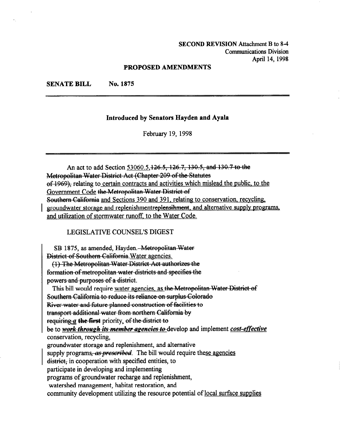SECOND REVISION Attachment B to 8-4 Communications Division April 14,1998

#### PROPOSED AMENDMENTS

SENATE BILL No. 1875

### Introduced by Senators Hayden and Ayala

February 19, 1998

An act to add Section 53060.5, 126.5, 126.7, 130.5, and 130.7 to the Metropolitan Water District Act (Chapter 209 of the Statutes  $ef 1969$ . relating to certain contracts and activities which mislead the public, to the Government Code the Metropolitan Water District of Southern California and Sections 390 and 391, relating to conservation, recycling, groundwater storage and replenishmentreplensihment, and alternative supply programs, and utilization of stormwater runoff, to the Water Code.

LEGISLATIVE COUNSEL'S DIGEST

SB 1875, as amended, Hayden.---Metropolitan-

(1) The Metropolitan Water District Act authorizes the formation of metropolitan water districts and specifies the powers and purposes of a district.

This bill would require water agencies, as the Metropolitan Water District of Southern California to reduce its reliance on surplus Colorado<br>River-water-and-future-planned-construction of facilities to

transport-additional-water-from-northern-California-by

requiring  $a$  the first priority, of the district to

be to work-through-its-member-agencies to develop and implement cost-effective conservation, recycling,

groundwater storage and replenishment, and alternative

supply programs, as prescribed. The bill would require these agencies

district, in cooperation with specified entities, to

participate in developing and implementing

programs of groundwater recharge and replenishment,

watershed management, habitat restoration, and

community development utilizing the resource potential of local surface supplies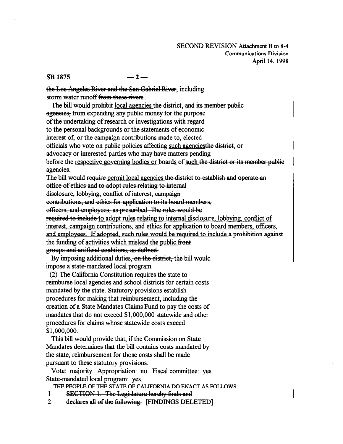### SECOND REVISION Attachment B to 8-4 Communications Division April 14,1998

## $\text{SB } 1875 \quad -2 -$

the Los Angeles River and the San Gabriel River, including storm water runoff from these rivers.

The bill would prohibit local agencies the district, and its member public agencies. from expending any public money for the purpose of the undertaking of research or investigations with regard to the personal backgrounds or the statements of economic interest of, or the campaign contributions made to, elected officials who vote on public policies affecting such agencies the district, or advocacy or interested parties who may have matters pending before the respective governing bodies or boards of such the district or its member public agencies. The bill would require-permit local agencies the district-to-establish and operate an office of ethics and to adopt rules relating to internal disclosure, lobbying, conflict of interest, campaign contributions, and ethics for application to its board members, officers, and employees, as prescribed. The rules would be required to include to adopt rules relating to internal disclosure, lobbying, conflict of interest, campaign contributions, and ethics for application to board members, officers, and employees. If adopted, such rules would be required to include a prohibition against the funding of activities which mislead the public.front groups and artificial coalitions, as defined.

By imposing additional duties, on the district, the bill would impose a state-mandated. local program.

(2) The California Constitution requires the state to reimburse local agencies and school districts for certain costs mandated by the state. Statutory provisions establish procedures for making that reimbursement, including the creation of a State Mandates Claims Fund to pay the costs of mandates that do not exceed \$l,OOO,OOO statewide and other procedures for claims whose statewide costs exceed \$1,000,000.

This bill would provide that, if the Commission on State Mandates determines that the bill contains costs mandated by the state, reimbursement for those costs shall be made pursuant to these statutory provisions.

Vote: majority. Appropriation: no. Fiscal committee: yes. State-mandated local program: yes.

THE PEOPLE OF THE STATE OF CALIFORNIA DO ENACT AS FOLLOWS:

- 1
- 1 **SECTION 1. The Legislature hereby finds and**<br>2 declares all of the following: [FINDINGS DELETED]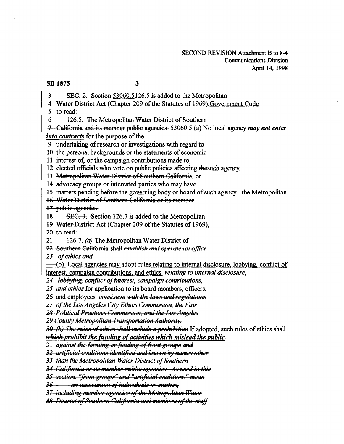#### **SB 1875**

 $-3-$ 

SEC. 2. Section 53060.5126.5 is added to the Metropolitan  $\mathbf{3}$ 

- -4 Water District Act (Chapter 209 of the Statutes of 1969); Government Code
- $5$  to read:

126.5. The Metropolitan Water District of Southern 6

-7 California and its member public agencies 53060.5 (a) No local agency may not enter into contracts for the purpose of the

- 9 undertaking of research or investigations with regard to
- 10 the personal backgrounds or the statements of economic

11 interest of, or the campaign contributions made to,

12 elected officials who vote on public policies affecting the such agency

13 Metropolitan Water District of Southern California, or

14 advocacy groups or interested parties who may have

15 matters pending before the governing body or board of such agency. the Metropolitan

16 Water District of Southern California or its member

17 public agencies.

18 SEC. 3. Section 126.7 is added to the Metropolitan

19 Water District Act (Chapter 209 of the Statutes of 1969),

 $20$  to read:

21 126.7. (a) The Metropolitan Water District of

22 Southern California shall establish and operate an office

23 of ethics and

(b) Local agencies may adopt rules relating to internal disclosure, lobbying, conflict of interest, campaign contributions, and ethics relating to internal disclosure,

24 lobbying, conflict of interest, campaign contributions,

25 and ethics for application to its board members, officers,

26 and employees. consistent with the laws and regulations

27 of the Los Angeles City Ethics Commission, the Fair

28 Political Practices Commission, and the Los Angeles

29 County Metropolitan Transportation Authority.

30 (b) The rules of ethics shall include a prohibition If adopted, such rules of ethics shall

which prohibit the funding of activities which mislead the public.

31 against the forming or funding of front groups and

<del>32-artificial coalitions identified and known by names other</del>

33 than the Metropolitan Water District of Southern

34 California or its member public agencies. As used in this

35 section, "front groups" and "artificial coalitions" mean

36 - an association of individuals or entities,

37 including member agencies of the Metropolitan Water

38 District of Southern California and members of the staff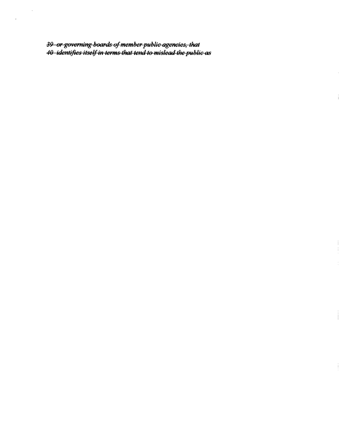<del>39 or governing boards of member public agencies, that</del><br>4<del>0 identifies itself in terms that tend to mislead the public as</del>

 $\frac{1}{4}$ 

 $\begin{array}{c} 1 \\ 1 \\ 1 \end{array}$ 

 $\frac{1}{\sqrt{2}}$ 

 $\mathbf{j}$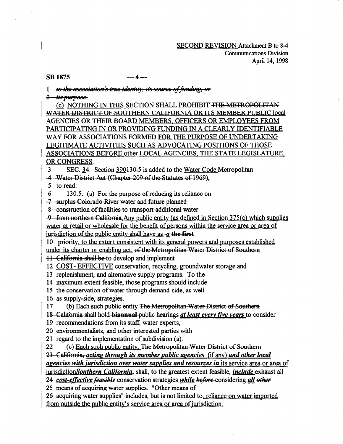SECOND REVISION Attachment B to 8-4 Communications Division April 14,1998

## $\overline{SR}$  1875 -4-

1 to the association's true identity, its source of funding. or

 $2 - its purpose.$ 

(c) NOTHING IN THIS SECTION SHALL PROHIBIT THE METROPOLITAN WATER-DISTRICT OF SOUTHERN CALIFORNIA OR ITS MEMBER PUBLIC local AGENCIES OR THEIR BOARD MEMBERS. OFFICERS OR EMPLOYEES FROM PARTICIPATING IN OR PROVIDING FUNDING IN A CLEARLY IDENTIFIABLE WAY FOR ASSOCIATIONS FORMED FOR THE PURPOSE OF UNDERTAKING LEGITIMATE ACTIVITIES SUCH AS ADVOCATING POSITIONS OF THOSE ASSOCIATIONS BEFORE other LOCAL AGENCIES, THE STATE LEGISLATURE. OR CONGRESS.

3 SEC. 34. Section 390130.5 is added to the Water Code Metropolitan

-4---Water-District-Act-(Chapter-209-of-the-Statutes-of-1969),

5 to read:

 $6$  130.5. (a) For the purpose of reducing its reliance on

-7-surplus-Colorado-River-water-and-future-planned

-8-construction of facilities to transport additional water

-9 from northern California. Any public entity (as defined in Section 375(c) which supplies water at retail or wholesale for the benefit of persons within the service area or area of jurisdiction of the public entity shall have as  $-a$  the first

10 priority, to the extert consistent with its general powers and purposes established under its charter or enabling act, of the Metropolitan Water District of So~<br>11 Celifornia shall be to develop and implement

11 California shall be to develop and implement<br>12 COST- EFFECTIVE conservation, recycling, groundwater storage and

13 replenishment, and alternative supply programs. To the

14 maximum extent feasible, those programs should include

15 the conservation of water through demand-side, as well

16 as supply-side, strategies.

17 (b) Each such public entity The Metropolitan Water District of Southern

18-California-shall hold-biannual-public hearings at least every five years to consider

19 recommendations from its staff, water experts,

20 environmentalists, and other interested parties with

21 regard to the implementation of subdivision (a).

22 (c) Each such public entity. The Metropolitan Water District of Southern 23-California, acting through its member public agencies (if any) and other local agencies with jurisdiction over water supplies and resources in its service area or area of jurisdictionSouthern California, shall, to the greatest extent feasible, *include-exhaust* all

24 cost-effective feasible conservation strategies while before considering all other 25 means of acquiring water supplies. "Other means of

26 acquiring water supplies" includes, but is not limited to, reliance on water imported from outside the public entity's service area or area of jurisdiction.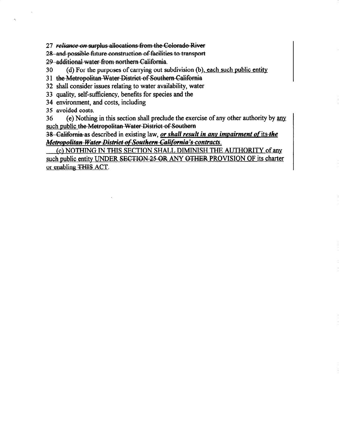27 reliance on surplus allocations from the Colorado River

28-and-possible-future construction of facilities to transport

29-additional-water-from-northern-California.

30 (d) For the purposes of carrying out subdivision (b), each such public entity.

31 the Metropolitan Water District of Southern California

32 shall consider issues relating to water availability, water

33 quality, self-sufficiency, benefits for species and the

34 environment, and costs, including

35 avoided costs.

36 (e) Nothing in this section shall preclude the exercise of any other authority by any such public the Metropolitan Water District of Southern

38 --California-as described in existing law, or shall result in any impairment of its the Metropolitan Water District of Southern California's contracts.

(c) NOTHING IN THIS SECTION SHALL DIMINISH THE AUTHORITY of any such public entity UNDER SECTION 25 OR ANY OTHER PROVISION OF its charter or enabling THIS ACT.